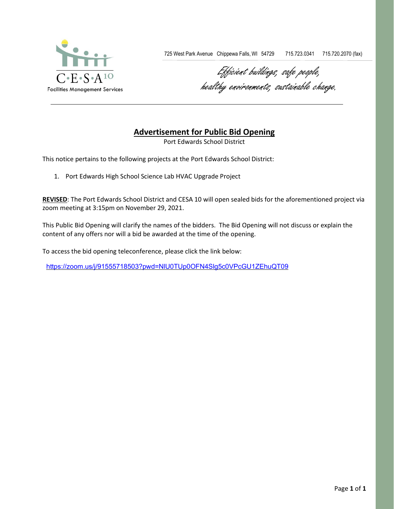

725 West Park Avenue Chippewa Falls, WI 54729 715.723.0341 715.720.2070 (fax)

Efficient buildings, safe people, healthy environments, sustainable change.

## **Advertisement for Public Bid Opening**

Port Edwards School District

This notice pertains to the following projects at the Port Edwards School District:

1. Port Edwards High School Science Lab HVAC Upgrade Project

**REVISED**: The Port Edwards School District and CESA 10 will open sealed bids for the aforementioned project via zoom meeting at 3:15pm on November 29, 2021.

This Public Bid Opening will clarify the names of the bidders. The Bid Opening will not discuss or explain the content of any offers nor will a bid be awarded at the time of the opening.

To access the bid opening teleconference, please click the link below:

<https://zoom.us/j/91555718503?pwd=NlU0TUp0OFN4Slg5c0VPcGU1ZEhuQT09>